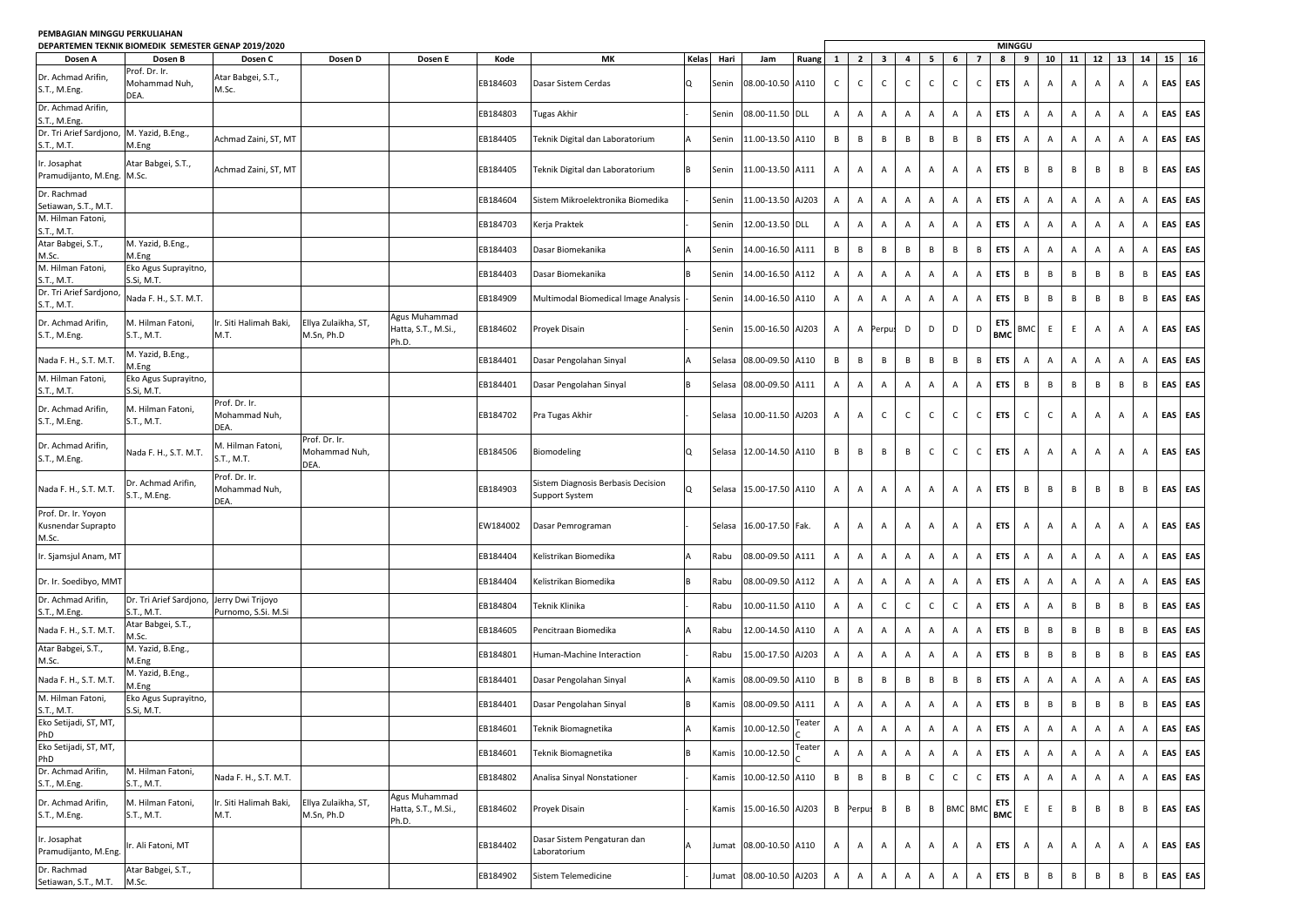## **PEMBAGIAN MINGGU PERKULIAHAN**

|                                                           | DEPARTEMEN TEKNIK BIOMEDIK SEMESTER GENAP 2019/2020 |                                          |                                        |                                               |          |                                                      |                |        |                        |        |              |                |                |                |                |              | <b>MINGGU</b>             |                          |                |                |                |              |                |    |         |     |
|-----------------------------------------------------------|-----------------------------------------------------|------------------------------------------|----------------------------------------|-----------------------------------------------|----------|------------------------------------------------------|----------------|--------|------------------------|--------|--------------|----------------|----------------|----------------|----------------|--------------|---------------------------|--------------------------|----------------|----------------|----------------|--------------|----------------|----|---------|-----|
| Dosen A                                                   | Dosen B                                             | Dosen C                                  | Dosen D                                | Dosen E                                       | Kode     | MК                                                   | Kelas          | Hari   | Jam                    | Ruang  | 1            | $\overline{2}$ | 3              | $\overline{a}$ | 5              | 6            | $\overline{7}$            | 8                        | 9              | 10             | 11             | 12           | 13             | 14 | 15      | 16  |
| Dr. Achmad Arifin,<br>S.T., M.Eng.                        | Prof. Dr. Ir.<br>Mohammad Nuh,<br>DEA.              | Atar Babgei, S.T.,<br>M.Sc.              |                                        |                                               | EB184603 | Dasar Sistem Cerdas                                  | l Q            | Senin  | 08.00-10.50 A110       |        | C            | $\mathsf{C}$   | C              | $\mathsf{C}$   | $\mathsf{C}$   | $\mathsf{C}$ | $\mathsf{C}$              | <b>ETS</b>               | A              | $\mathsf{A}$   | А              | Α            | A              | A  | EAS EAS |     |
| Dr. Achmad Arifin,                                        |                                                     |                                          |                                        |                                               | EB184803 | Tugas Akhir                                          |                | Senin  | 08.00-11.50            | DLL    | A            | Α              | $\overline{A}$ | Α              | A              | Α            | Α                         | <b>ETS</b>               | $\overline{A}$ | A              | A              | A            | A              | A  | EAS     | EAS |
| S.T., M.Eng.<br>Dr. Tri Arief Sardjono, M. Yazid, B.Eng., |                                                     | Achmad Zaini, ST, MT                     |                                        |                                               | EB184405 | Teknik Digital dan Laboratorium                      |                | Senin  | 11.00-13.50            | A110   | В            | B              | В              | В              | $\, {\sf B}$   | $\, {\sf B}$ | B                         | <b>ETS</b>               | $\overline{A}$ | $\mathsf{A}$   | A              | Α            | Α              | Α  | EAS EAS |     |
| S.T., M.T.<br>Ir. Josaphat                                | M.Eng<br>Atar Babgei, S.T.,                         |                                          |                                        |                                               |          |                                                      |                |        |                        |        |              |                |                |                |                |              |                           |                          |                |                |                |              |                |    |         |     |
| Pramudijanto, M.Eng.                                      | M.Sc.                                               | Achmad Zaini, ST, MT                     |                                        |                                               | EB184405 | Teknik Digital dan Laboratorium                      |                | Senin  | 11.00-13.50 A111       |        | A            | A              | Α              | $\mathsf{A}$   | A              | A            | Α                         | <b>ETS</b>               | B              | B              | B              | B            | B              | B  | EAS EAS |     |
| Dr. Rachmad<br>Setiawan, S.T., M.T.                       |                                                     |                                          |                                        |                                               | EB184604 | Sistem Mikroelektronika Biomedika                    |                | Senin  | 11.00-13.50            | AJ203  | $\mathsf{A}$ | $\overline{A}$ | $\overline{A}$ | Α              | A              | A            | A                         | <b>ETS</b>               | $\overline{A}$ | A              | $\overline{A}$ | A            | $\overline{A}$ | Α  | EAS     | EAS |
| M. Hilman Fatoni,<br>S.T., M.T.                           |                                                     |                                          |                                        |                                               | EB184703 | Kerja Praktek                                        |                | Senin  | 12.00-13.50 DLL        |        | Α            | $\mathsf{A}$   | Α              | Α              | A              | A            | A                         | <b>ETS</b>               | $\overline{A}$ | A              | A              | Α            | A              | Α  | EAS     | EAS |
| Atar Babgei, S.T.,<br>M.Sc.                               | M. Yazid, B.Eng.,<br>M.Eng                          |                                          |                                        |                                               | EB184403 | Dasar Biomekanika                                    |                | Senin  | 14.00-16.50            | A111   | В            | B              | В              | B              | $\mathsf B$    | $\,$ B       | B                         | <b>ETS</b>               | $\overline{A}$ | $\mathsf{A}$   | Α              | A            | A              | A  | EAS     | EAS |
| M. Hilman Fatoni,<br>S.T., M.T.                           | Eko Agus Suprayitno,<br>S.Si, M.T.                  |                                          |                                        |                                               | EB184403 | Dasar Biomekanika                                    |                | Senin  | 14.00-16.50            | A112   | A            | $\overline{A}$ | $\overline{A}$ | $\mathsf{A}$   | Α              | Α            | Α                         | <b>ETS</b>               | B              | B              | B              | B            | B              | B  | EAS     | EAS |
| Dr. Tri Arief Sardjono<br>S.T., M.T.                      | Nada F. H., S.T. M.T.                               |                                          |                                        |                                               | EB184909 | Multimodal Biomedical Image Analysis                 |                | Senin  | 14.00-16.50            | A110   | Α            | $\mathsf{A}$   | Α              | Α              | A              | Α            | A                         | <b>ETS</b>               | B              | B              | B              | B            | B              | В  | EAS     | EAS |
| Dr. Achmad Arifin,<br>S.T., M.Eng.                        | M. Hilman Fatoni,<br>S.T., M.T.                     | Ir. Siti Halimah Baki,<br>M.T.           | Ellya Zulaikha, ST,<br>M.Sn, Ph.D      | Agus Muhammad<br>Hatta, S.T., M.Si.,<br>Ph.D. | EB184602 | Proyek Disain                                        |                | Senin  | 15.00-16.50 AJ203      |        | A            |                | A Perpu        | D              | D              | D            | D                         | <b>ETS</b><br><b>BMC</b> | <b>BMC</b>     | E              | E              | Α            | Α              | Α  | EAS EAS |     |
| Nada F. H., S.T. M.T                                      | M. Yazid, B.Eng.,<br>M.Eng                          |                                          |                                        |                                               | EB184401 | Dasar Pengolahan Sinyal                              |                | Selasa | 08.00-09.50            | A110   | В            | B              | В              | В              | $\mathsf B$    | $\, {\sf B}$ | $\,$ B                    | <b>ETS</b>               | $\overline{A}$ | $\mathsf{A}$   | Α              | А            | A              | Α  | EAS     | EAS |
| M. Hilman Fatoni,<br>S.T., M.T.                           | Eko Agus Suprayitno,<br>S.Si, M.T.                  |                                          |                                        |                                               | EB184401 | Dasar Pengolahan Sinyal                              | B              | Selasa | 08.00-09.50            | A111   | A            | $\overline{A}$ | $\overline{A}$ | $\mathsf{A}$   | Α              | A            | $\overline{A}$            | <b>ETS</b>               | B              | B              | B              | B            | B              | В  | EAS     | EAS |
| Dr. Achmad Arifin,<br>S.T., M.Eng.                        | M. Hilman Fatoni,<br>S.T., M.T.                     | Prof. Dr. Ir.<br>Mohammad Nuh,<br>DEA.   |                                        |                                               | EB184702 | Pra Tugas Akhir                                      |                | Selasa | 10.00-11.50 AJ203      |        | A            | $\mathsf{A}$   | $\mathsf{C}$   | $\mathsf C$    | $\mathsf{C}$   | $\mathsf{C}$ | $\mathsf{C}$              | <b>ETS</b>               | $\mathsf{C}$   | $\mathsf{C}$   | Α              | А            | Α              | Α  | EAS     | EAS |
| Dr. Achmad Arifin,<br>S.T., M.Eng.                        | Nada F. H., S.T. M.T.                               | M. Hilman Fatoni,<br>S.T., M.T.          | Prof. Dr. Ir.<br>Mohammad Nuh,<br>DEA. |                                               | EB184506 | Biomodeling                                          | Q              | Selasa | 12.00-14.50            | A110   | B            | B              | В              | В              | $\mathsf{C}$   | $\mathsf{C}$ | $\mathsf{C}$              | <b>ETS</b>               | A              | $\mathsf{A}$   | Α              | Α            | Α              | Α  | EAS     | EAS |
| Nada F. H., S.T. M.T                                      | Dr. Achmad Arifin,<br>S.T., M.Eng.                  | Prof. Dr. Ir.<br>Mohammad Nuh,<br>DEA.   |                                        |                                               | EB184903 | Sistem Diagnosis Berbasis Decision<br>Support System | Q              | Selasa | 15.00-17.50 A110       |        | A            | A              | Α              | Α              | A              | A            | Α                         | <b>ETS</b>               | B              | B              | B              | В            | B              | В  | EAS     | EAS |
| Prof. Dr. Ir. Yoyon<br>Kusnendar Suprapto<br>M.Sc.        |                                                     |                                          |                                        |                                               | EW184002 | Dasar Pemrograman                                    |                | Selasa | 16.00-17.50 Fak.       |        | A            | A              | Α              | $\mathsf{A}$   | Α              | A            | A                         | <b>ETS</b>               | A              | $\mathsf{A}$   | A              | A            | Α              | Α  | EAS     | EAS |
| Ir. Sjamsjul Anam, MT                                     |                                                     |                                          |                                        |                                               | EB184404 | Kelistrikan Biomedika                                |                | Rabu   | 08.00-09.50            | A111   | A            | $\overline{A}$ | Α              | A              | Α              | A            | A                         | <b>ETS</b>               | $\overline{A}$ | $\mathsf{A}$   | A              | A            | A              | Α  | EAS     | EAS |
| Dr. Ir. Soedibyo, MMT                                     |                                                     |                                          |                                        |                                               | EB184404 | Kelistrikan Biomedika                                |                | Rabu   | 08.00-09.50            | A112   | Α            | A              | $\overline{A}$ | $\mathsf{A}$   | Α              | Α            | Α                         | <b>ETS</b>               | $\overline{A}$ | A              | A              | A            | A              | Α  | EAS     | EAS |
| Dr. Achmad Arifin,<br>S.T., M.Eng.                        | Dr. Tri Arief Sardjono,<br>S.T., M.T.               | Jerry Dwi Trijoyo<br>Purnomo, S.Si. M.Si |                                        |                                               | EB184804 | Teknik Klinika                                       |                | Rabu   | 10.00-11.50            | A110   | A            | A              | $\mathsf{C}$   | $\mathsf{C}$   | $\mathsf{C}$   | $\mathsf{C}$ | Α                         | <b>ETS</b>               | $\overline{A}$ | Α              | B              | B            | B              | В  | EAS     | EAS |
| Nada F. H., S.T. M.T.                                     | Atar Babgei, S.T.,<br>M.Sc.                         |                                          |                                        |                                               | EB184605 | Pencitraan Biomedika                                 |                | Rabu   | 2.00-14.50             | A110   | A            | $\overline{A}$ | Α              | A              | A              | A            | A                         | <b>ETS</b>               | B              | B              | В              | В            | В              | В  | EAS     | EAS |
| Atar Babgei, S.T.,<br>M.Sc.                               | M. Yazid, B.Eng.,<br>M.Eng                          |                                          |                                        |                                               | EB184801 | Human-Machine Interaction                            |                | Rabu   | 15.00-17.50            | AJ203  | A            | A              | Α              | A              | Α              | A            | A                         | <b>ETS</b>               | $\,$ B         | B              | B              | B            | B              | B  | EAS     | EAS |
| Nada F. H., S.T. M.T                                      | M. Yazid, B.Eng.,<br>M.Eng                          |                                          |                                        |                                               | EB184401 | Dasar Pengolahan Sinyal                              |                | Kamis  | 08.00-09.50            | A110   | В            | В              | В              | В              | $\, {\sf B}$   | B            | В                         | <b>ETS</b>               | $\overline{A}$ | A              | Α              | Α            | Α              | Α  | EAS     | EAS |
| M. Hilman Fatoni,                                         | Eko Agus Suprayitno,                                |                                          |                                        |                                               | EB184401 | Dasar Pengolahan Sinyal                              |                | Kamis  | 08.00-09.50            | A111   | A            | $\overline{A}$ | Α              | Α              | $\mathsf A$    | A            | A                         | <b>ETS</b>               | B              | B              | B              | В            | B              | B  | EAS     | EAS |
| S.T., M.T.<br>Eko Setijadi, ST, MT,                       | S.Si, M.T.                                          |                                          |                                        |                                               | EB184601 | Teknik Biomagnetika                                  | A              | Kamis  | 10.00-12.50            | Teater | $\mathsf{A}$ | $\mathsf{A}$   | $\overline{A}$ | $\mathsf{A}$   | A              | $\mathsf{A}$ | A                         | <b>ETS</b>               | $\overline{A}$ | $\overline{A}$ | Α              | A            | A              | Α  | EAS EAS |     |
| PhD<br>Eko Setijadi, ST, MT,                              |                                                     |                                          |                                        |                                               | EB184601 | Teknik Biomagnetika                                  | B              | Kamis  | 10.00-12.50            | Teater | Α            | A              | Α              | Α              | Α              | A            | A                         | <b>ETS</b>               | $\overline{A}$ | Α              | A              | Α            | Α              | Α  | EAS EAS |     |
| PhD<br>Dr. Achmad Arifin,<br>S.T., M.Eng.                 | M. Hilman Fatoni,<br>S.T., M.T.                     | Nada F. H., S.T. M.T.                    |                                        |                                               | EB184802 | Analisa Sinyal Nonstationer                          |                | Kamis  | 10.00-12.50 A110       |        | B            | B              | В              | $\,$ B         | $\mathsf C$    | $\mathsf{C}$ | $\mathsf C$               | <b>ETS</b>               | $\overline{A}$ | A              | A              | А            | Α              | Α  | EAS EAS |     |
| Dr. Achmad Arifin,<br>S.T., M.Eng.                        | M. Hilman Fatoni,<br>S.T., M.T.                     | Ir. Siti Halimah Baki,<br>M.T.           | Ellya Zulaikha, ST,<br>M.Sn, Ph.D      | Agus Muhammad<br>Hatta, S.T., M.Si.,<br>Ph.D. | EB184602 | Proyek Disain                                        |                | Kamis  | 15.00-16.50 AJ203      |        |              | B Perpus       | В              | B              | B              |              | BMC BMC                   | <b>ETS</b><br><b>BMC</b> | E              | E              | B              | $\mathsf B$  | B              | B  | EAS EAS |     |
| Ir. Josaphat<br>Pramudijanto, M.Eng                       | r. Ali Fatoni, MT                                   |                                          |                                        |                                               | EB184402 | Dasar Sistem Pengaturan dan<br>Laboratorium          | $\overline{A}$ |        | Jumat 08.00-10.50 A110 |        | $\mathsf{A}$ | $\mathsf{A}$   | $\mathsf{A}$   | A              | $\overline{A}$ | $\mathsf{A}$ | $\overline{A}$            | <b>ETS</b>               | A              | $\mathsf{A}$   | A              | $\mathsf{A}$ | A              | A  | EAS EAS |     |
| Dr. Rachmad<br>Setiawan, S.T., M.T.                       | Atar Babgei, S.T.,<br>M.Sc.                         |                                          |                                        |                                               | EB184902 | Sistem Telemedicine                                  |                | Jumat  | 08.00-10.50 AJ203      |        |              | $\mathsf{A}$   | Α              | Α              | Α              | A            | $\boldsymbol{\mathsf{A}}$ | <b>ETS</b>               | B              | B              | B              | B            | B              | В  | EAS EAS |     |